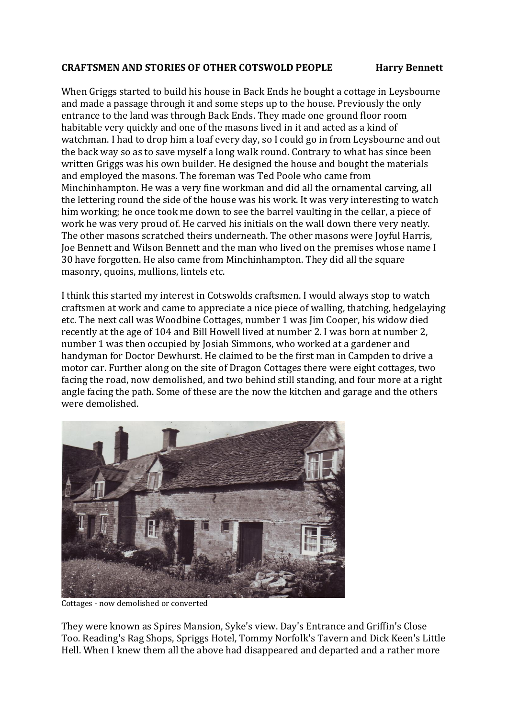## **CRAFTSMEN AND STORIES OF OTHER COTSWOLD PEOPLE Harry Bennett**

When Griggs started to build his house in Back Ends he bought a cottage in Leysbourne and made a passage through it and some steps up to the house. Previously the only entrance to the land was through Back Ends. They made one ground floor room habitable very quickly and one of the masons lived in it and acted as a kind of watchman. I had to drop him a loaf every day, so I could go in from Leysbourne and out the back way so as to save myself a long walk round. Contrary to what has since been written Griggs was his own builder. He designed the house and bought the materials and employed the masons. The foreman was Ted Poole who came from Minchinhampton. He was a very fine workman and did all the ornamental carving, all the lettering round the side of the house was his work. It was very interesting to watch him working; he once took me down to see the barrel vaulting in the cellar, a piece of work he was very proud of. He carved his initials on the wall down there very neatly. The other masons scratched theirs underneath. The other masons were Joyful Harris, Joe Bennett and Wilson Bennett and the man who lived on the premises whose name I 30 have forgotten. He also came from Minchinhampton. They did all the square masonry, quoins, mullions, lintels etc.

I think this started my interest in Cotswolds craftsmen. I would always stop to watch craftsmen at work and came to appreciate a nice piece of walling, thatching, hedgelaying etc. The next call was Woodbine Cottages, number 1 was Jim Cooper, his widow died recently at the age of 104 and Bill Howell lived at number 2. I was born at number 2, number 1 was then occupied by Josiah Simmons, who worked at a gardener and handyman for Doctor Dewhurst. He claimed to be the first man in Campden to drive a motor car. Further along on the site of Dragon Cottages there were eight cottages, two facing the road, now demolished, and two behind still standing, and four more at a right angle facing the path. Some of these are the now the kitchen and garage and the others were demolished.



Cottages - now demolished or converted

They were known as Spires Mansion, Syke's view. Day's Entrance and Griffin's Close Too. Reading's Rag Shops, Spriggs Hotel, Tommy Norfolk's Tavern and Dick Keen's Little Hell. When I knew them all the above had disappeared and departed and a rather more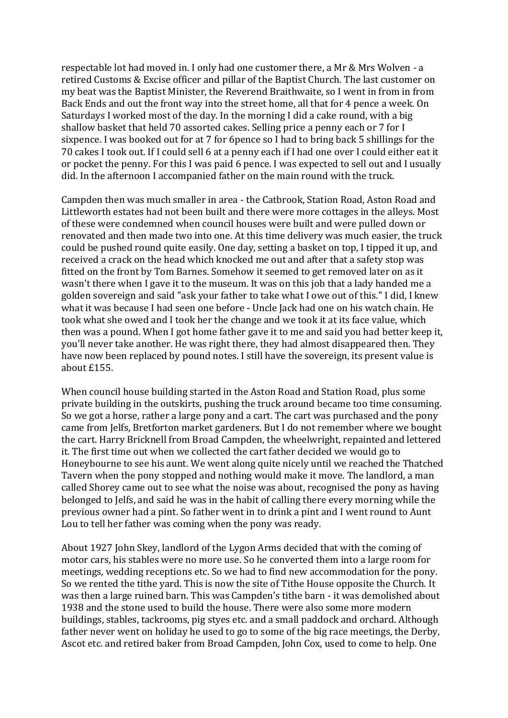respectable lot had moved in. I only had one customer there, a Mr & Mrs Wolven - a retired Customs & Excise officer and pillar of the Baptist Church. The last customer on my beat was the Baptist Minister, the Reverend Braithwaite, so I went in from in from Back Ends and out the front way into the street home, all that for 4 pence a week. On Saturdays I worked most of the day. In the morning I did a cake round, with a big shallow basket that held 70 assorted cakes. Selling price a penny each or 7 for I sixpence. I was booked out for at 7 for 6pence so I had to bring back 5 shillings for the 70 cakes I took out. If I could sell 6 at a penny each if I had one over I could either eat it or pocket the penny. For this I was paid 6 pence. I was expected to sell out and I usually did. In the afternoon I accompanied father on the main round with the truck.

Campden then was much smaller in area - the Catbrook, Station Road, Aston Road and Littleworth estates had not been built and there were more cottages in the alleys. Most of these were condemned when council houses were built and were pulled down or renovated and then made two into one. At this time delivery was much easier, the truck could be pushed round quite easily. One day, setting a basket on top, I tipped it up, and received a crack on the head which knocked me out and after that a safety stop was fitted on the front by Tom Barnes. Somehow it seemed to get removed later on as it wasn't there when I gave it to the museum. It was on this job that a lady handed me a golden sovereign and said "ask your father to take what I owe out of this." I did, I knew what it was because I had seen one before - Uncle Jack had one on his watch chain. He took what she owed and I took her the change and we took it at its face value, which then was a pound. When I got home father gave it to me and said you had better keep it, you'll never take another. He was right there, they had almost disappeared then. They have now been replaced by pound notes. I still have the sovereign, its present value is about £155.

When council house building started in the Aston Road and Station Road, plus some private building in the outskirts, pushing the truck around became too time consuming. So we got a horse, rather a large pony and a cart. The cart was purchased and the pony came from Jelfs, Bretforton market gardeners. But I do not remember where we bought the cart. Harry Bricknell from Broad Campden, the wheelwright, repainted and lettered it. The first time out when we collected the cart father decided we would go to Honeybourne to see his aunt. We went along quite nicely until we reached the Thatched Tavern when the pony stopped and nothing would make it move. The landlord, a man called Shorey came out to see what the noise was about, recognised the pony as having belonged to Jelfs, and said he was in the habit of calling there every morning while the previous owner had a pint. So father went in to drink a pint and I went round to Aunt Lou to tell her father was coming when the pony was ready.

About 1927 John Skey, landlord of the Lygon Arms decided that with the coming of motor cars, his stables were no more use. So he converted them into a large room for meetings, wedding receptions etc. So we had to find new accommodation for the pony. So we rented the tithe yard. This is now the site of Tithe House opposite the Church. It was then a large ruined barn. This was Campden's tithe barn - it was demolished about 1938 and the stone used to build the house. There were also some more modern buildings, stables, tackrooms, pig styes etc. and a small paddock and orchard. Although father never went on holiday he used to go to some of the big race meetings, the Derby, Ascot etc. and retired baker from Broad Campden, John Cox, used to come to help. One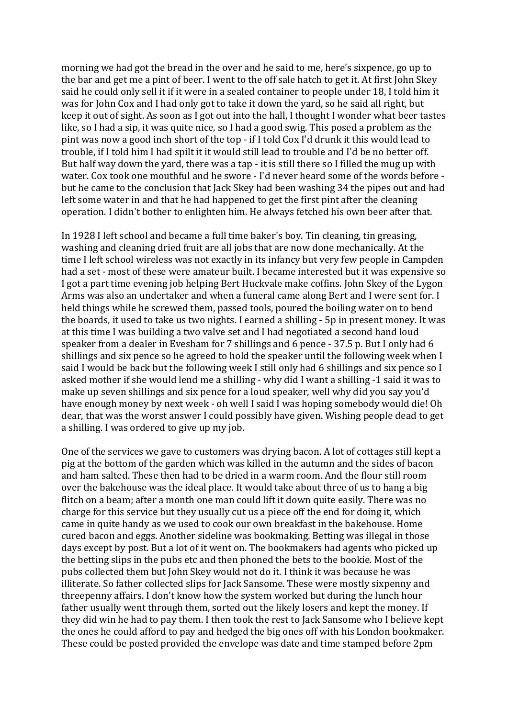morning we had got the bread in the over and he said to me, here's sixpence, go up to the bar and get me a pint of beer. I went to the off sale hatch to get it. At first John Skey said he could only sell it if it were in a sealed container to people under 18, I told him it was for John Cox and I had only got to take it down the yard, so he said all right, but keep it out of sight. As soon as I got out into the hall, I thought I wonder what beer tastes like, so I had a sip, it was quite nice, so I had a good swig. This posed a problem as the pint was now a good inch short of the top - if I told Cox I'd drunk it this would lead to trouble, if I told him I had spilt it it would still lead to trouble and I'd be no better off. But half way down the yard, there was a tap - it is still there so I filled the mug up with water. Cox took one mouthful and he swore - I'd never heard some of the words before but he came to the conclusion that Jack Skey had been washing 34 the pipes out and had left some water in and that he had happened to get the first pint after the cleaning operation. I didn't bother to enlighten him. He always fetched his own beer after that.

In 1928 I left school and became a full time baker's boy. Tin cleaning, tin greasing, washing and cleaning dried fruit are all jobs that are now done mechanically. At the time I left school wireless was not exactly in its infancy but very few people in Campden had a set - most of these were amateur built. I became interested but it was expensive so I got a part time evening job helping Bert Huckvale make coffins. John Skey of the Lygon Arms was also an undertaker and when a funeral came along Bert and I were sent for. I held things while he screwed them, passed tools, poured the boiling water on to bend the boards, it used to take us two nights. I earned a shilling - 5p in present money. It was at this time I was building a two valve set and I had negotiated a second hand loud speaker from a dealer in Evesham for 7 shillings and 6 pence - 37.5 p. But I only had 6 shillings and six pence so he agreed to hold the speaker until the following week when I said I would be back but the following week I still only had 6 shillings and six pence so I asked mother if she would lend me a shilling - why did I want a shilling -1 said it was to make up seven shillings and six pence for a loud speaker, well why did you say you'd have enough money by next week - oh well I said I was hoping somebody would die! Oh dear, that was the worst answer I could possibly have given. Wishing people dead to get a shilling. I was ordered to give up my job.

One of the services we gave to customers was drying bacon. A lot of cottages still kept a pig at the bottom of the garden which was killed in the autumn and the sides of bacon and ham salted. These then had to be dried in a warm room. And the flour still room over the bakehouse was the ideal place. It would take about three of us to hang a big flitch on a beam; after a month one man could lift it down quite easily. There was no charge for this service but they usually cut us a piece off the end for doing it, which came in quite handy as we used to cook our own breakfast in the bakehouse. Home cured bacon and eggs. Another sideline was bookmaking. Betting was illegal in those days except by post. But a lot of it went on. The bookmakers had agents who picked up the betting slips in the pubs etc and then phoned the bets to the bookie. Most of the pubs collected them but John Skey would not do it. I think it was because he was illiterate. So father collected slips for Jack Sansome. These were mostly sixpenny and threepenny affairs. I don't know how the system worked but during the lunch hour father usually went through them, sorted out the likely losers and kept the money. If they did win he had to pay them. I then took the rest to Jack Sansome who I believe kept the ones he could afford to pay and hedged the big ones off with his London bookmaker. These could be posted provided the envelope was date and time stamped before 2pm